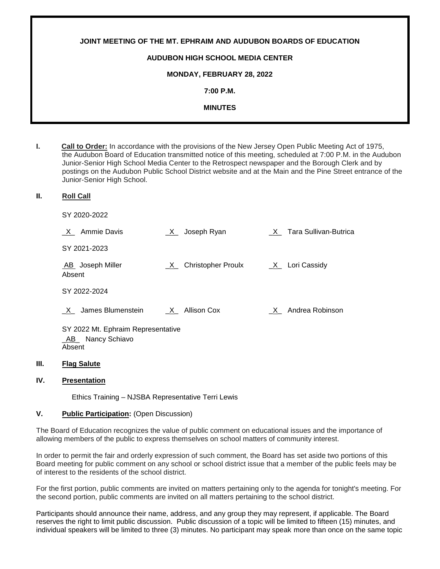| JOINT MEETING OF THE MT. EPHRAIM AND AUDUBON BOARDS OF EDUCATION |  |
|------------------------------------------------------------------|--|
| <b>AUDUBON HIGH SCHOOL MEDIA CENTER</b>                          |  |
| <b>MONDAY, FEBRUARY 28, 2022</b>                                 |  |
| 7:00 P.M.                                                        |  |
| <b>MINUTES</b>                                                   |  |
|                                                                  |  |

- **I. Call to Order:** In accordance with the provisions of the New Jersey Open Public Meeting Act of 1975, the Audubon Board of Education transmitted notice of this meeting, scheduled at 7:00 P.M. in the Audubon Junior-Senior High School Media Center to the Retrospect newspaper and the Borough Clerk and by postings on the Audubon Public School District website and at the Main and the Pine Street entrance of the Junior-Senior High School.
- **II. Roll Call**

SY 2020-2022

| Ammie Davis                                                      | Joseph Ryan<br>X        | X Tara Sullivan-Butrica         |
|------------------------------------------------------------------|-------------------------|---------------------------------|
| SY 2021-2023                                                     |                         |                                 |
| AB Joseph Miller<br>Absent                                       | Christopher Proulx<br>X | $X_$ Lori Cassidy               |
| SY 2022-2024                                                     |                         |                                 |
| James Blumenstein                                                | Allison Cox<br>X        | Andrea Robinson<br>$\mathsf{X}$ |
| SY 2022 Mt. Ephraim Representative<br>AB Nancy Schiavo<br>Absent |                         |                                 |

# **III. Flag Salute**

## **IV. Presentation**

Ethics Training – NJSBA Representative Terri Lewis

### **V. Public Participation:** (Open Discussion)

The Board of Education recognizes the value of public comment on educational issues and the importance of allowing members of the public to express themselves on school matters of community interest.

In order to permit the fair and orderly expression of such comment, the Board has set aside two portions of this Board meeting for public comment on any school or school district issue that a member of the public feels may be of interest to the residents of the school district.

For the first portion, public comments are invited on matters pertaining only to the agenda for tonight's meeting. For the second portion, public comments are invited on all matters pertaining to the school district.

Participants should announce their name, address, and any group they may represent, if applicable. The Board reserves the right to limit public discussion. Public discussion of a topic will be limited to fifteen (15) minutes, and individual speakers will be limited to three (3) minutes. No participant may speak more than once on the same topic